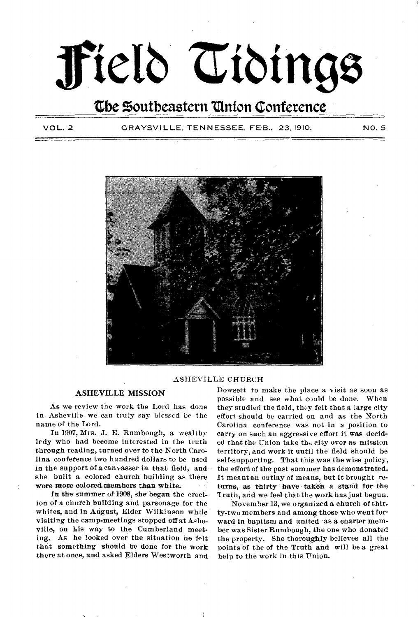# **ffield Tidings**

**the Zontbeastern °anion Conference** 

VOL. 2 GRAYSVILLE. TENNESSEE. FEB.. 23, 1910. NO. 5



### ASHEVILLE CHURCH

### **ASHEVILLE MISSION**

As we review the work the Lord has done in Asheville we can truly say blessed be the name of the Lord.

In 1907, Mrs. J. E. Rumbough, a wealthy lrdy who had become interested in the truth through reading, turned over to the North Carolina conference two hundred dollars to be used in the support of a canvasser in. that field, and she built a colored church building as there were more colored members than white.

In the summer of 1908, she began the erection of a church building and parsonage for the whites, and in August, Elder Wilkinson while visiting the camp-meetings stopped off at Asheville, on his way to the Cumberland meeting. As he looked over the situation he felt that something should be done for the work there at once, and asked Elders Westworth and Dowsett to make the place a visit as soon as possible and see what could be done. When they studied the field, they felt that a large city effort should be carried on and as the North Carolina conference was not in a position to carry on such an aggressive effort it was decided that the Union take the city over as mission territory, and work it until the field should be self-supporting. That this was the wise policy, the effort of the past summer has demonstrated. It meant an outlay of means, but it brought returns, as thirty have taken a stand for the Truth, and we feel that the work has just begun.

November 13, we organized a church of thirty-two members and among those who went forward in baptism and united •as a charter member was Sister Rumbough, the one who donated the property. She thoroughly believes all the points of the of the Truth and will be a great help to the work in this Union.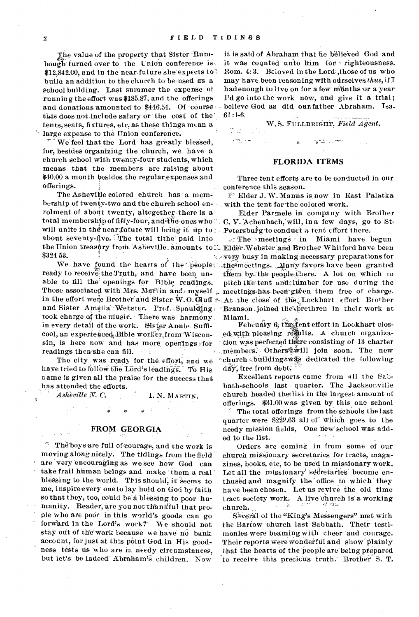ماريش

The value of the property that Sister Rumthe value of the property that sister Trum-<br>bough-turned over to the Union conference is  $$12,842.00$ , and in the near-future she expects to? build amaddition to the church to be-used as a school building. Last summer the expense of running the effort- was \$185.87, and the offerings and donations amounted to \$446.54. Of course this does not-include salary or the cost of the tents, seats, fixtures, etc, as these things mean a large expense to the Union conference.

 $\nabla$  We feel that the Lord has greatly blessed, for, besides organizing the church, we have a church school with twenty-four students, which means that the members are raising about \$40.00 a month besides. the regularexpenses and offerings.

The Asheville colored church has a membership of twenty-two and the church school-enrolment of about twenty, altogether there is a will unite in the near future will bring it up to . Petersburg to conduct a tent effort there. about seventy-five. The total tithe paid into \$324 53.

took charge of the music. There was harmony Miami. ready to receive the Truth, and have been unable to fill the' openings for Bible readings. in every detail of the work. Sister Annie Sufficool, an experienced Bible worker, from Wiscon $sin, is here now and has more openings for$ readings then she can fill.

The city .was ready for the, effort; and we have tried to follow the Lord's leadings. To His name is given all the praise for the success that has attended the efforts.

**I.** N. MARTIN.  $\emph{A}\emph{sheville}\emph{N}\emph{.}$  C.

### **FROM GEORGIA**

48 The boys are full of courage, and the work is moving along nicely. The tidings from the field are "very encouraging as we see how God can take frail hüman beings and make 'them a real blessing to the world. This should, it seems to me, inspire every one to lay hold on God by faith so that they, too, could be a blessing to poor humanity. Reader, are you not thankful that people who are poor in this world's goods can go forward in the Lord's work? We should not stay out of the work because we have no bank account, for just at this point God in His goodness tests us who are in needy circumstances, but let's be indeed Abraham's children. Now

it is said of Abraham that he believed God and it was counted unto him for righteousness. Rom. 4: 3. Beloved in the Lord: ,those of us who may have been reasoning with ourselves *thus*, if I hadenough to live on for a few munths or a year I'd go into the work now, and give it a trial; believe God- as did our father Abraham. Isa. 61:1-6.

### W.S. FULLBRIGHT, Field Agent.

### **FLORIDA ITEMS**

Three-tent efforts are to be conducted in our conference this season.

Elder J. W. Manns is now in East Palatka with the tent for the colored work.

total membership of fifty-four, and the ones who c. C. V. Achenbach, will, in a few days, go to St-Elder Parrnele in company with Brother

the Union treasury from Asheville amounts to L. Elder Webster and Brother Whitford have been We have found the hearts of the people: the meetings. Many favors have been granted Those associated with Mrs. Martin and  $\text{-}\mathbf{m}$ yself  $_\pm$  meetings has been given them free of charge. in the effort were Brother-and Sister W.O.Cluff At the close of the Lockhart effort Brother and Sister Amelia<sup>-</sup> Wehster. Prof. Spaul $\tilde{d}$ ing rSranson joined the forethren in their work at  $\mathcal{F}$  The meetings. in Miami have begun very busy in making necessary preparations for them by the people there. A lot on which to pitch the tent and lumber for use during the

> February 6, the fent effort in Lookhart closed with pleasing results. A church organization was perfected there consisting of 13 charter members. Otherstwill join soon. The new "church building was dedicated the following  $d\tilde{a}$ y, free from debt.  $\tilde{a}$

Excellent reports came from all the Sabbath-schools last quarter. The Jacksonville church headed theflist in the largest amount of offerings. \$31.00 was given by\_ this one school

The total offerings from the schools the last quarter were \$22e.63 all of' Which goes to the needy mission fields, One hew'school was added to the list.

Orders are coming in from some of our church missionary secretaries for tracts, magazines, books, etc, to be used in missionary work. Let all the missionary' secretaries' become enthused and magnify the office to which they have been chosen.' Let us revive the old time tract society work. A live church is a working church.

Several of the "King's Messengers" met with the Bartow church last Sabbath. Their testimonies were beaming with cheer-and courage. Their reports were wonderful and show plainly that the hearts of the people are being prepared to receive this precicus truth: Brother S. T.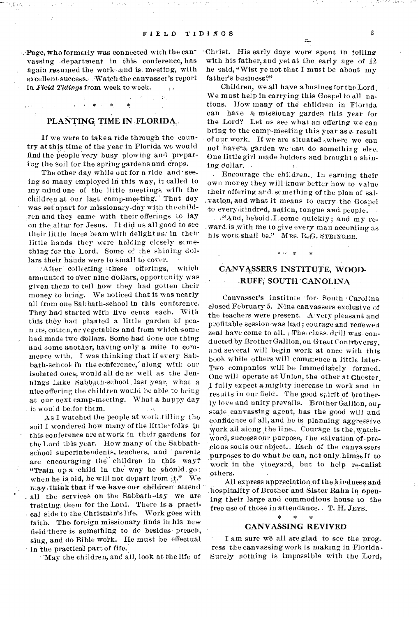$\bar{D} \bar{N}_\mathrm{B}$ 

 $\therefore$  Page, who formerly was connected with the canvassing department in this conference, has again resumed the work-and is meeting, with excellentsucceSs.,Watchthe canvasser's report in Field Tidings from week to week.

### PLANTING, TIME IN FLORIDA,

If we were to take a ride through the country at this time of the year in Florida we would find the people very busy plowing and preparing the soil for the spring gardens and crops.

The other day while out for a ride and seeing so many employed in this way, it called to my mind one of the little meetings with the children at our last camp-meeting. That day was set apart for missionary-day with the children and they came with their offerings to lay on the altar for Jesus. It did us all good to see their little faces beam with delight as: in their little hands they were holding closely something for the Lord. Some of the shining dollars their hands were to sinall to cover.

After collecting these offerings, which amounted to over nine dollars, opportunity was given them to tell how they had gotten their money to bring. We noticed that it was nearly all from one Sabbath-school in this conference. They had started with five cents each. With this they had planted a little garden of pea n its, cotton, or vegetables and from which some had, made two dollars. Some had done one thing and some another, having only a mite to commence with. I was thinking that if every Sabbath-school in the conference, along with our isolated ones; would all do as well as the Jennings Lake Sabbath-school ,last year, what a nice offering the children would be able to bring at our next camp-meeting. What a happy day it would be, for them.

As I watched the people at work tilling the soil I wondered how many of the little' folks in this conference are at work in their gardens for the Lord this year. How many of the Sabbathschool superintendents, teachers, and parents are encouraging the' children in this way? "Train up a child in the way he should go: when he is old, he will not depart from it." We may , think that if we have,our children' attend all the services on the Sabbath-day we are training them for the Lord. There is a practi cal side to the Christain's life. Work goes with faith. The foreign missionary finds in his new field there is something to de besides- preach, sing, and do Bible work. He must be effectual in the practical part of fife.

-May the children, and all, look at the life of

'Christ. His early days were spent in toiling with his father, and yet at the, early age of 12, he said, "Wist ye not that I must be about my father's business?"

Children, we all have a busines for the Lord. We must help in carrying this Gospel to all nations. How many of the children in Florida can have a missionay garden this year for the Lord? Let us see what an offering we can bring to the camp-Meeting this year as e. result of our work. If we are situated  $\omega$ where we can not have a garden we can do something else. One little girl made holders and brought a shining dollar.  $\bar{t}$  ,  $\bar{t}$ 

Encourage the children.. In earning their own money they will-know better how to value their offering ard something of the plan of sal-, vation, and what it means to carry. the Gospel to every:kindred, nation, tongue and people. •

:"And, behold I come quickly; and my reward.is with me to give every man according as his work,shall be." Mrs.  $R_{4}G$ . STRINGER.

## CANVASSERS INSTITUTE, WOOD- -RUFF; SOUTH CANOLINA

Canvasser's institute for South Carolina closed February 5. Nine canvassers exclusive of the teachers were present. A very pleasant and profitable session was had; courage and renewed zeal have come to all. Fhei class. drill was conducted by Brother Gallion, on Great Controversy, and several will begin work at once with this book while others will commence a little later• Two companies will be immediately formed. One will operate at Union, the other at Chester. I fully expect a, mighty increase in work and in results in our field. The good spiritof brotherly love and unity prevails. Brother Gallion, our state canvassing agent, has the good will and confidence of all, and he is planning aggressive work all along the line.. Courage is the watchword, success our purpose, the salvation of • precious souls our object.. Each of the canvassers purposes to do what he can, not only himself to work in the vineyard, but to help re-enlist others.

All.express appreciation of the kindness and hospitality of Brother and Sister Rahn in opening their large and commodious house to the free use of those in attendance. T. H. JEYS.

### CANVASSING REVIVED

I am sure we all are glad to see the progress the canvassing work is making in  $Florida$ . Surely nothing is impossible with the Lord,